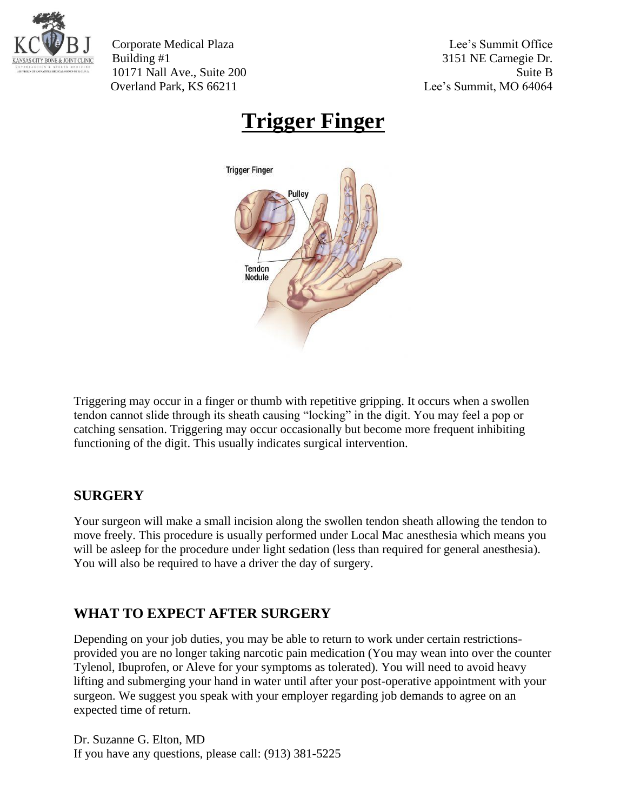

Corporate Medical Plaza Lee's Summit Office Building #1 3151 NE Carnegie Dr. 10171 Nall Ave., Suite 200 Suite B Overland Park, KS 66211 Lee's Summit, MO 64064

## **Trigger Finger**



Triggering may occur in a finger or thumb with repetitive gripping. It occurs when a swollen tendon cannot slide through its sheath causing "locking" in the digit. You may feel a pop or catching sensation. Triggering may occur occasionally but become more frequent inhibiting functioning of the digit. This usually indicates surgical intervention.

## **SURGERY**

Your surgeon will make a small incision along the swollen tendon sheath allowing the tendon to move freely. This procedure is usually performed under Local Mac anesthesia which means you will be asleep for the procedure under light sedation (less than required for general anesthesia). You will also be required to have a driver the day of surgery.

## **WHAT TO EXPECT AFTER SURGERY**

Depending on your job duties, you may be able to return to work under certain restrictionsprovided you are no longer taking narcotic pain medication (You may wean into over the counter Tylenol, Ibuprofen, or Aleve for your symptoms as tolerated). You will need to avoid heavy lifting and submerging your hand in water until after your post-operative appointment with your surgeon. We suggest you speak with your employer regarding job demands to agree on an expected time of return.

Dr. Suzanne G. Elton, MD If you have any questions, please call: (913) 381-5225